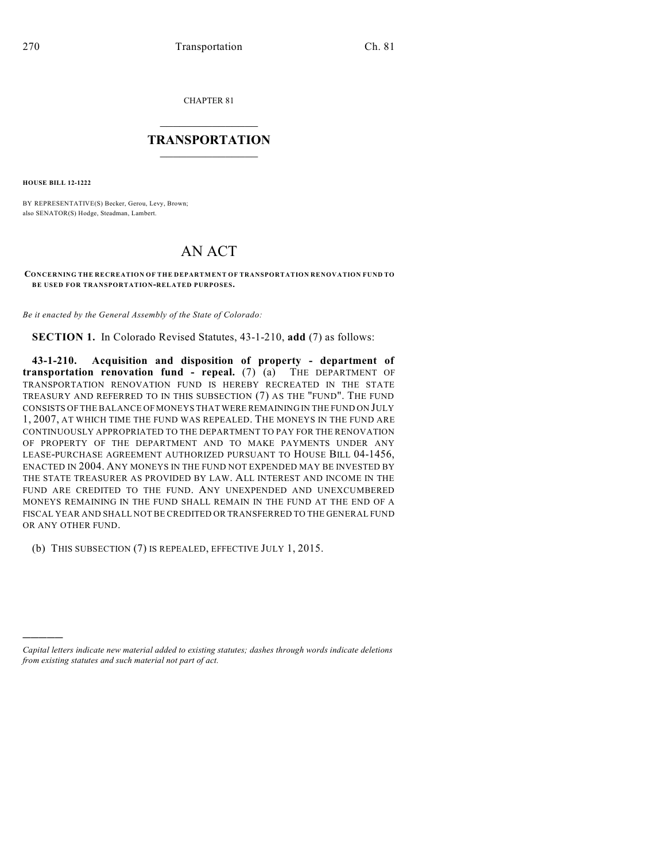CHAPTER 81

## $\overline{\phantom{a}}$  . The set of the set of the set of the set of the set of the set of the set of the set of the set of the set of the set of the set of the set of the set of the set of the set of the set of the set of the set o **TRANSPORTATION**  $\_$   $\_$   $\_$   $\_$   $\_$   $\_$   $\_$   $\_$   $\_$

**HOUSE BILL 12-1222**

)))))

BY REPRESENTATIVE(S) Becker, Gerou, Levy, Brown; also SENATOR(S) Hodge, Steadman, Lambert.

## AN ACT

**CONCERNING THE RECREATION OF THE DEPARTMENT OF TRANSPORTATION RENOVATION FUND TO BE USED FOR TRANSPORTATION-RELATED PURPOSES.**

*Be it enacted by the General Assembly of the State of Colorado:*

**SECTION 1.** In Colorado Revised Statutes, 43-1-210, **add** (7) as follows:

**43-1-210. Acquisition and disposition of property - department of transportation renovation fund - repeal.** (7) (a) THE DEPARTMENT OF TRANSPORTATION RENOVATION FUND IS HEREBY RECREATED IN THE STATE TREASURY AND REFERRED TO IN THIS SUBSECTION (7) AS THE "FUND". THE FUND CONSISTS OF THE BALANCE OF MONEYS THAT WERE REMAINING IN THE FUND ON JULY 1, 2007, AT WHICH TIME THE FUND WAS REPEALED. THE MONEYS IN THE FUND ARE CONTINUOUSLY APPROPRIATED TO THE DEPARTMENT TO PAY FOR THE RENOVATION OF PROPERTY OF THE DEPARTMENT AND TO MAKE PAYMENTS UNDER ANY LEASE-PURCHASE AGREEMENT AUTHORIZED PURSUANT TO HOUSE BILL 04-1456, ENACTED IN 2004. ANY MONEYS IN THE FUND NOT EXPENDED MAY BE INVESTED BY THE STATE TREASURER AS PROVIDED BY LAW. ALL INTEREST AND INCOME IN THE FUND ARE CREDITED TO THE FUND. ANY UNEXPENDED AND UNEXCUMBERED MONEYS REMAINING IN THE FUND SHALL REMAIN IN THE FUND AT THE END OF A FISCAL YEAR AND SHALL NOT BE CREDITED OR TRANSFERRED TO THE GENERAL FUND OR ANY OTHER FUND.

(b) THIS SUBSECTION (7) IS REPEALED, EFFECTIVE JULY 1, 2015.

*Capital letters indicate new material added to existing statutes; dashes through words indicate deletions from existing statutes and such material not part of act.*